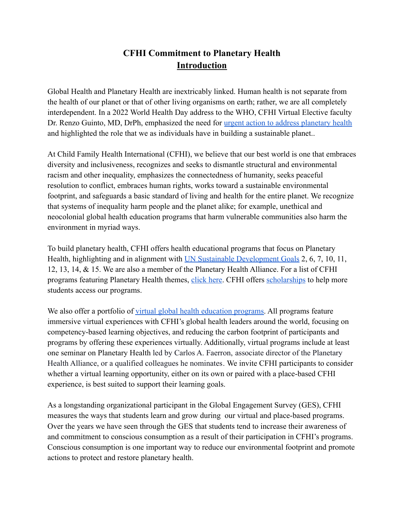## **CFHI Commitment to Planetary Health Introduction**

Global Health and Planetary Health are inextricably linked. Human health is not separate from the health of our planet or that of other living organisms on earth; rather, we are all completely interdependent. In a 2022 World Health Day address to the WHO, CFHI Virtual Elective faculty Dr. Renzo Guinto, MD, DrPh, emphasized the need for <u>[urgent action to address planetary health](https://www.youtube.com/watch?v=zJIcZvKh5zI)</u> and highlighted the role that we as individuals have in building a sustainable planet..

At Child Family Health International (CFHI), we believe that our best world is one that embraces diversity and inclusiveness, recognizes and seeks to dismantle structural and environmental racism and other inequality, emphasizes the connectedness of humanity, seeks peaceful resolution to conflict, embraces human rights, works toward a sustainable environmental footprint, and safeguards a basic standard of living and health for the entire planet. We recognize that systems of inequality harm people and the planet alike; for example, unethical and neocolonial global health education programs that harm vulnerable communities also harm the environment in myriad ways.

To build planetary health, CFHI offers health educational programs that focus on Planetary Health, highlighting and in alignment with UN Sustainable [Development Goals](https://sdgs.un.org/goals) 2, 6, 7, 10, 11, 12, 13, 14, & 15. We are also a member of the Planetary Health Alliance. For a list of CFHI programs featuring Planetary Health themes, [click](https://www.cfhi.org/cfhi-planetary-health-initiative) here. CFHI offers [scholarships](https://www.cfhi.org/scholarships) to help more students access our programs.

We also offer a portfolio of [virtual global health](https://www.cfhi.org/virtual-opportunities) education programs. All programs feature immersive virtual experiences with CFHI's global health leaders around the world, focusing on competency-based learning objectives, and reducing the carbon footprint of participants and programs by offering these experiences virtually. Additionally, virtual programs include at least one seminar on Planetary Health led by Carlos A. Faerron, associate director of the Planetary Health Alliance, or a qualified colleagues he nominates. We invite CFHI participants to consider whether a virtual learning opportunity, either on its own or paired with a place-based CFHI experience, is best suited to support their learning goals.

As a longstanding organizational participant in the Global Engagement Survey (GES), CFHI measures the ways that students learn and grow during our virtual and place-based programs. Over the years we have seen through the GES that students tend to increase their awareness of and commitment to conscious consumption as a result of their participation in CFHI's programs. Conscious consumption is one important way to reduce our environmental footprint and promote actions to protect and restore planetary health.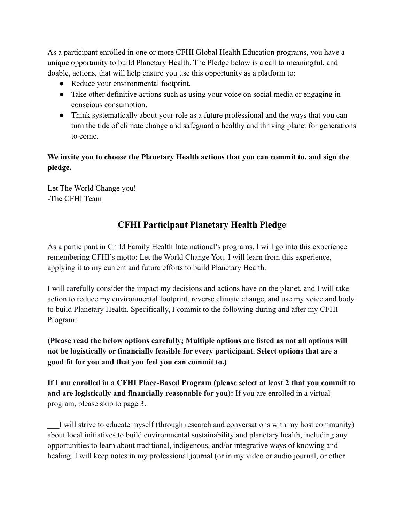As a participant enrolled in one or more CFHI Global Health Education programs, you have a unique opportunity to build Planetary Health. The Pledge below is a call to meaningful, and doable, actions, that will help ensure you use this opportunity as a platform to:

- Reduce your environmental footprint.
- Take other definitive actions such as using your voice on social media or engaging in conscious consumption.
- Think systematically about your role as a future professional and the ways that you can turn the tide of climate change and safeguard a healthy and thriving planet for generations to come.

**We invite you to choose the Planetary Health actions that you can commit to, and sign the pledge.**

Let The World Change you! -The CFHI Team

## **CFHI Participant Planetary Health Pledge**

As a participant in Child Family Health International's programs, I will go into this experience remembering CFHI's motto: Let the World Change You. I will learn from this experience, applying it to my current and future efforts to build Planetary Health.

I will carefully consider the impact my decisions and actions have on the planet, and I will take action to reduce my environmental footprint, reverse climate change, and use my voice and body to build Planetary Health. Specifically, I commit to the following during and after my CFHI Program:

**(Please read the below options carefully; Multiple options are listed as not all options will not be logistically or financially feasible for every participant. Select options that are a good fit for you and that you feel you can commit to.)**

**If I am enrolled in a CFHI Place-Based Program (please select at least 2 that you commit to and are logistically and financially reasonable for you):** If you are enrolled in a virtual program, please skip to page 3.

\_\_\_I will strive to educate myself (through research and conversations with my host community) about local initiatives to build environmental sustainability and planetary health, including any opportunities to learn about traditional, indigenous, and/or integrative ways of knowing and healing. I will keep notes in my professional journal (or in my video or audio journal, or other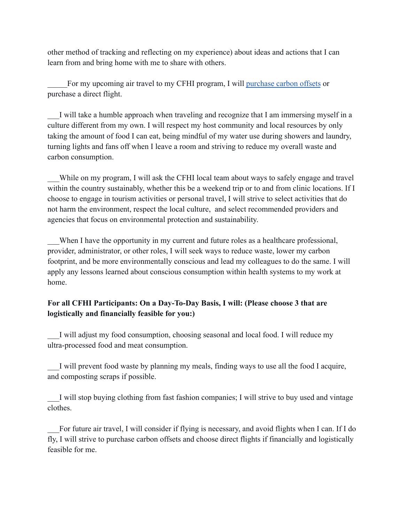other method of tracking and reflecting on my experience) about ideas and actions that I can learn from and bring home with me to share with others.

For my upcoming air travel to my CFHI program, I will [purchase carbon offsets](https://sustainabletravel.org/our-work/carbon-offsets/calculate-footprint/) or purchase a direct flight.

I will take a humble approach when traveling and recognize that I am immersing myself in a culture different from my own. I will respect my host community and local resources by only taking the amount of food I can eat, being mindful of my water use during showers and laundry, turning lights and fans off when I leave a room and striving to reduce my overall waste and carbon consumption.

While on my program, I will ask the CFHI local team about ways to safely engage and travel within the country sustainably, whether this be a weekend trip or to and from clinic locations. If I choose to engage in tourism activities or personal travel, I will strive to select activities that do not harm the environment, respect the local culture, and select recommended providers and agencies that focus on environmental protection and sustainability.

When I have the opportunity in my current and future roles as a healthcare professional, provider, administrator, or other roles, I will seek ways to reduce waste, lower my carbon footprint, and be more environmentally conscious and lead my colleagues to do the same. I will apply any lessons learned about conscious consumption within health systems to my work at home.

## **For all CFHI Participants: On a Day-To-Day Basis, I will: (Please choose 3 that are logistically and financially feasible for you:)**

\_\_\_I will adjust my food consumption, choosing seasonal and local food. I will reduce my ultra-processed food and meat consumption.

I will prevent food waste by planning my meals, finding ways to use all the food I acquire, and composting scraps if possible.

\_\_\_I will stop buying clothing from fast fashion companies; I will strive to buy used and vintage clothes.

\_\_\_For future air travel, I will consider if flying is necessary, and avoid flights when I can. If I do fly, I will strive to purchase carbon offsets and choose direct flights if financially and logistically feasible for me.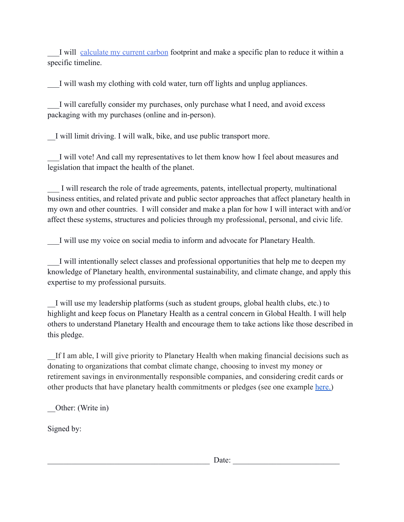I will [calculate my current carbon](https://www.nature.org/en-us/get-involved/how-to-help/carbon-footprint-calculator/) footprint and make a specific plan to reduce it within a specific timeline.

I will wash my clothing with cold water, turn off lights and unplug appliances.

I will carefully consider my purchases, only purchase what I need, and avoid excess packaging with my purchases (online and in-person).

\_\_I will limit driving. I will walk, bike, and use public transport more.

I will vote! And call my representatives to let them know how I feel about measures and legislation that impact the health of the planet.

I will research the role of trade agreements, patents, intellectual property, multinational business entities, and related private and public sector approaches that affect planetary health in my own and other countries. I will consider and make a plan for how I will interact with and/or affect these systems, structures and policies through my professional, personal, and civic life.

\_\_\_I will use my voice on social media to inform and advocate for Planetary Health.

\_\_\_I will intentionally select classes and professional opportunities that help me to deepen my knowledge of Planetary health, environmental sustainability, and climate change, and apply this expertise to my professional pursuits.

\_\_I will use my leadership platforms (such as student groups, global health clubs, etc.) to highlight and keep focus on Planetary Health as a central concern in Global Health. I will help others to understand Planetary Health and encourage them to take actions like those described in this pledge.

If I am able, I will give priority to Planetary Health when making financial decisions such as donating to organizations that combat climate change, choosing to invest my money or retirement savings in environmentally responsible companies, and considering credit cards or other products that have planetary health commitments or pledges (see one example [here.\)](http://here./)

\_\_Other: (Write in)

Signed by:

 $\Box$  Date:  $\Box$